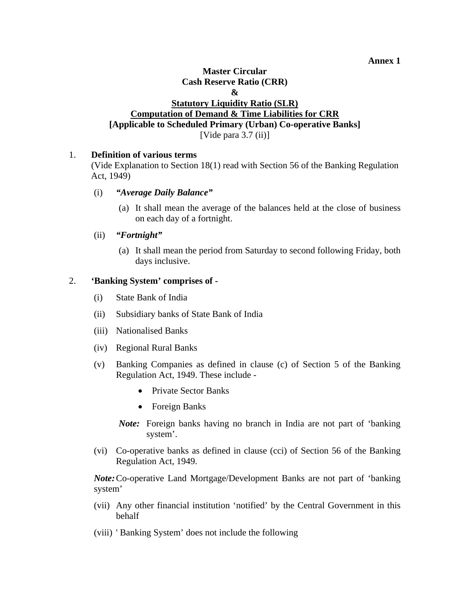**Annex 1** 

### **Master Circular Cash Reserve Ratio (CRR) & Statutory Liquidity Ratio (SLR) Computation of Demand & Time Liabilities for CRR [Applicable to Scheduled Primary (Urban) Co-operative Banks]**  [Vide para 3.7 (ii)]

### 1. **Definition of various terms**

(Vide Explanation to Section 18(1) read with Section 56 of the Banking Regulation Act, 1949)

#### (i) *"Average Daily Balance"*

(a) It shall mean the average of the balances held at the close of business on each day of a fortnight.

### (ii) *"Fortnight"*

(a) It shall mean the period from Saturday to second following Friday, both days inclusive.

### 2. **'Banking System' comprises of -**

- (i) State Bank of India
- (ii) Subsidiary banks of State Bank of India
- (iii) Nationalised Banks
- (iv) Regional Rural Banks
- (v) Banking Companies as defined in clause (c) of Section 5 of the Banking Regulation Act, 1949. These include -
	- Private Sector Banks
	- Foreign Banks
	- *Note:* Foreign banks having no branch in India are not part of 'banking system'.
- (vi) Co-operative banks as defined in clause (cci) of Section 56 of the Banking Regulation Act, 1949.

*Note:* Co-operative Land Mortgage/Development Banks are not part of 'banking system'

- (vii) Any other financial institution 'notified' by the Central Government in this behalf
- (viii) ' Banking System' does not include the following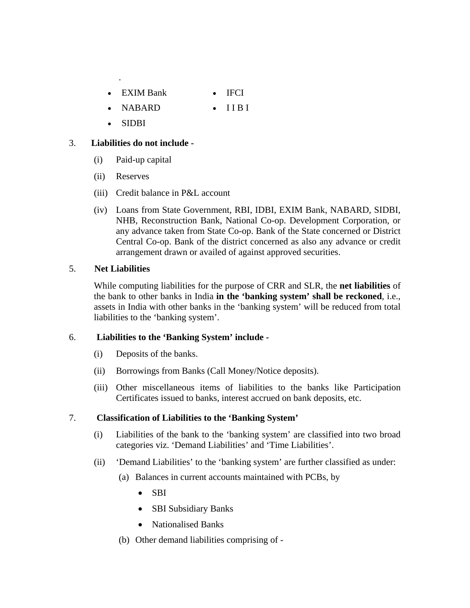- EXIM Bank IFCI
- NABARD IIBI
- SIDBI

.

## 3. **Liabilities do not include -**

- (i) Paid-up capital
- (ii) Reserves
- (iii) Credit balance in P&L account
- (iv) Loans from State Government, RBI, IDBI, EXIM Bank, NABARD, SIDBI, NHB, Reconstruction Bank, National Co-op. Development Corporation, or any advance taken from State Co-op. Bank of the State concerned or District Central Co-op. Bank of the district concerned as also any advance or credit arrangement drawn or availed of against approved securities.

### 5. **Net Liabilities**

While computing liabilities for the purpose of CRR and SLR, the **net liabilities** of the bank to other banks in India **in the 'banking system' shall be reckoned**, i.e., assets in India with other banks in the 'banking system' will be reduced from total liabilities to the 'banking system'.

### 6. **Liabilities to the 'Banking System' include -**

- (i) Deposits of the banks.
- (ii) Borrowings from Banks (Call Money/Notice deposits).
- (iii) Other miscellaneous items of liabilities to the banks like Participation Certificates issued to banks, interest accrued on bank deposits, etc.

# 7. **Classification of Liabilities to the 'Banking System'**

- (i) Liabilities of the bank to the 'banking system' are classified into two broad categories viz. 'Demand Liabilities' and 'Time Liabilities'.
- (ii) 'Demand Liabilities' to the 'banking system' are further classified as under:
	- (a) Balances in current accounts maintained with PCBs, by
		- SBI
		- SBI Subsidiary Banks
		- Nationalised Banks
	- (b) Other demand liabilities comprising of -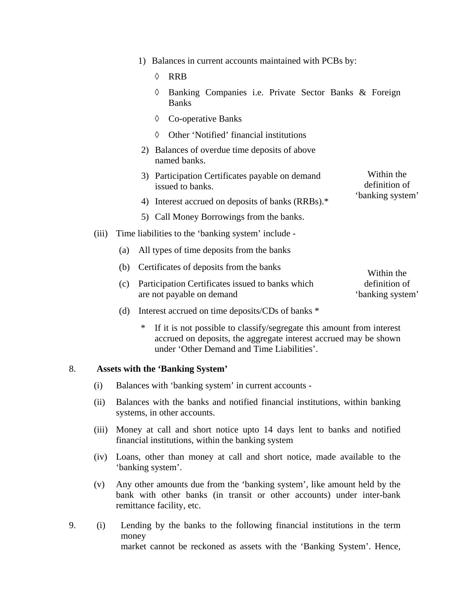- 1) Balances in current accounts maintained with PCBs by:
	- ◊ RRB
	- ◊ Banking Companies i.e. Private Sector Banks & Foreign Banks
	- ◊ Co-operative Banks
	- ◊ Other 'Notified' financial institutions
- 2) Balances of overdue time deposits of above named banks.
- 3) Participation Certificates payable on demand issued to banks. Within the definition of
- 4) Interest accrued on deposits of banks (RRBs).\* 'banking system'
- 5) Call Money Borrowings from the banks.
- (iii) Time liabilities to the 'banking system' include
	- (a) All types of time deposits from the banks
	- (b) Certificates of deposits from the banks (c) Participation Certificates issued to banks which are not payable on demand Within the definition of 'banking system'
	- (d) Interest accrued on time deposits/CDs of banks \*
		- If it is not possible to classify/segregate this amount from interest accrued on deposits, the aggregate interest accrued may be shown under 'Other Demand and Time Liabilities'.

### 8. **Assets with the 'Banking System'**

- (i) Balances with 'banking system' in current accounts -
- (ii) Balances with the banks and notified financial institutions, within banking systems, in other accounts.
- (iii) Money at call and short notice upto 14 days lent to banks and notified financial institutions, within the banking system
- (iv) Loans, other than money at call and short notice, made available to the 'banking system'.
- (v) Any other amounts due from the 'banking system', like amount held by the bank with other banks (in transit or other accounts) under inter-bank remittance facility, etc.
- 9. (i) Lending by the banks to the following financial institutions in the term money market cannot be reckoned as assets with the 'Banking System'. Hence,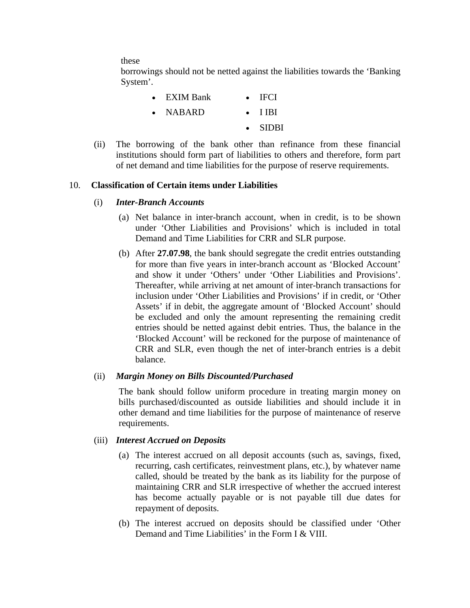these

borrowings should not be netted against the liabilities towards the 'Banking System'.

| $\bullet$ | EXIM Bank        | $\bullet$ IFCI  |
|-----------|------------------|-----------------|
|           | $\bullet$ NABARD | $\bullet$ TIBI  |
|           |                  | $\bullet$ SIDBI |

(ii) The borrowing of the bank other than refinance from these financial institutions should form part of liabilities to others and therefore, form part of net demand and time liabilities for the purpose of reserve requirements.

### 10. **Classification of Certain items under Liabilities**

- (i) *Inter-Branch Accounts*
	- (a) Net balance in inter-branch account, when in credit, is to be shown under 'Other Liabilities and Provisions' which is included in total Demand and Time Liabilities for CRR and SLR purpose.
	- (b) After **27.07.98**, the bank should segregate the credit entries outstanding for more than five years in inter-branch account as 'Blocked Account' and show it under 'Others' under 'Other Liabilities and Provisions'. Thereafter, while arriving at net amount of inter-branch transactions for inclusion under 'Other Liabilities and Provisions' if in credit, or 'Other Assets' if in debit, the aggregate amount of 'Blocked Account' should be excluded and only the amount representing the remaining credit entries should be netted against debit entries. Thus, the balance in the 'Blocked Account' will be reckoned for the purpose of maintenance of CRR and SLR, even though the net of inter-branch entries is a debit balance.

### (ii) *Margin Money on Bills Discounted/Purchased*

The bank should follow uniform procedure in treating margin money on bills purchased/discounted as outside liabilities and should include it in other demand and time liabilities for the purpose of maintenance of reserve requirements.

#### (iii) *Interest Accrued on Deposits*

- (a) The interest accrued on all deposit accounts (such as, savings, fixed, recurring, cash certificates, reinvestment plans, etc.), by whatever name called, should be treated by the bank as its liability for the purpose of maintaining CRR and SLR irrespective of whether the accrued interest has become actually payable or is not payable till due dates for repayment of deposits.
- (b) The interest accrued on deposits should be classified under 'Other Demand and Time Liabilities' in the Form I & VIII.